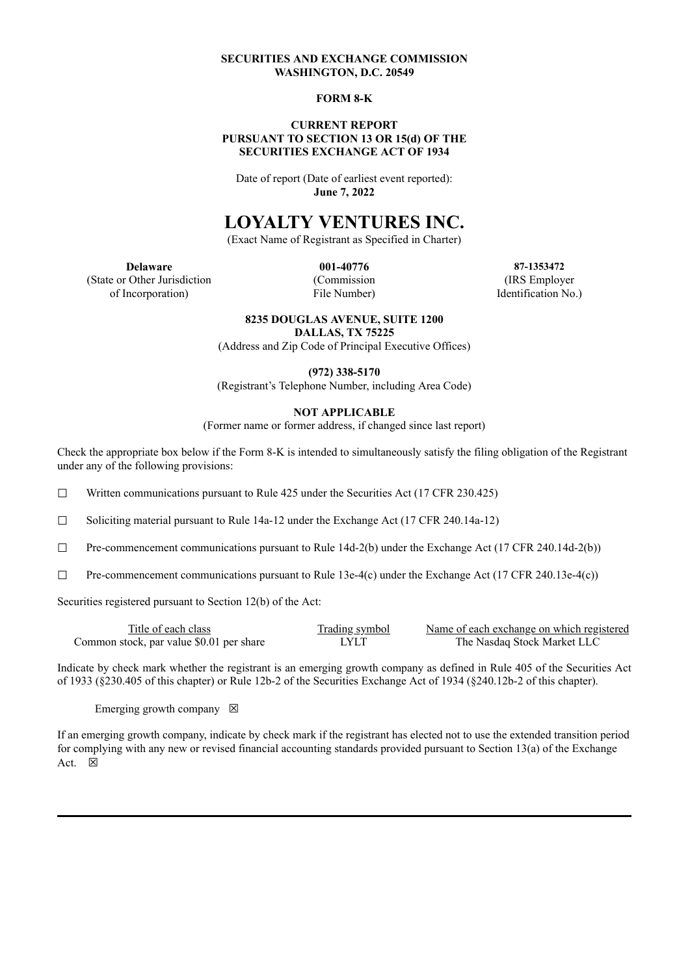#### **SECURITIES AND EXCHANGE COMMISSION WASHINGTON, D.C. 20549**

#### **FORM 8-K**

#### **CURRENT REPORT PURSUANT TO SECTION 13 OR 15(d) OF THE SECURITIES EXCHANGE ACT OF 1934**

Date of report (Date of earliest event reported): **June 7, 2022**

# **LOYALTY VENTURES INC.**

(Exact Name of Registrant as Specified in Charter)

(State or Other Jurisdiction (Commission (IRS Employer of Incorporation) File Number) Identification No.)

**Delaware 001-40776 87-1353472**

#### **8235 DOUGLAS AVENUE, SUITE 1200**

**DALLAS, TX 75225**

(Address and Zip Code of Principal Executive Offices)

**(972) 338-5170**

(Registrant's Telephone Number, including Area Code)

#### **NOT APPLICABLE**

(Former name or former address, if changed since last report)

Check the appropriate box below if the Form 8-K is intended to simultaneously satisfy the filing obligation of the Registrant under any of the following provisions:

☐ Written communications pursuant to Rule 425 under the Securities Act (17 CFR 230.425)

☐ Soliciting material pursuant to Rule 14a-12 under the Exchange Act (17 CFR 240.14a-12)

 $\Box$  Pre-commencement communications pursuant to Rule 14d-2(b) under the Exchange Act (17 CFR 240.14d-2(b))

 $\Box$  Pre-commencement communications pursuant to Rule 13e-4(c) under the Exchange Act (17 CFR 240.13e-4(c))

Securities registered pursuant to Section 12(b) of the Act:

| Title of each class                      | <b>Trading symbol</b> | Name of each exchange on which registered |
|------------------------------------------|-----------------------|-------------------------------------------|
| Common stock, par value \$0.01 per share | LYLT                  | The Nasdag Stock Market LLC               |

Indicate by check mark whether the registrant is an emerging growth company as defined in Rule 405 of the Securities Act of 1933 (§230.405 of this chapter) or Rule 12b-2 of the Securities Exchange Act of 1934 (§240.12b-2 of this chapter).

Emerging growth company  $\boxtimes$ 

If an emerging growth company, indicate by check mark if the registrant has elected not to use the extended transition period for complying with any new or revised financial accounting standards provided pursuant to Section 13(a) of the Exchange Act.  $\boxtimes$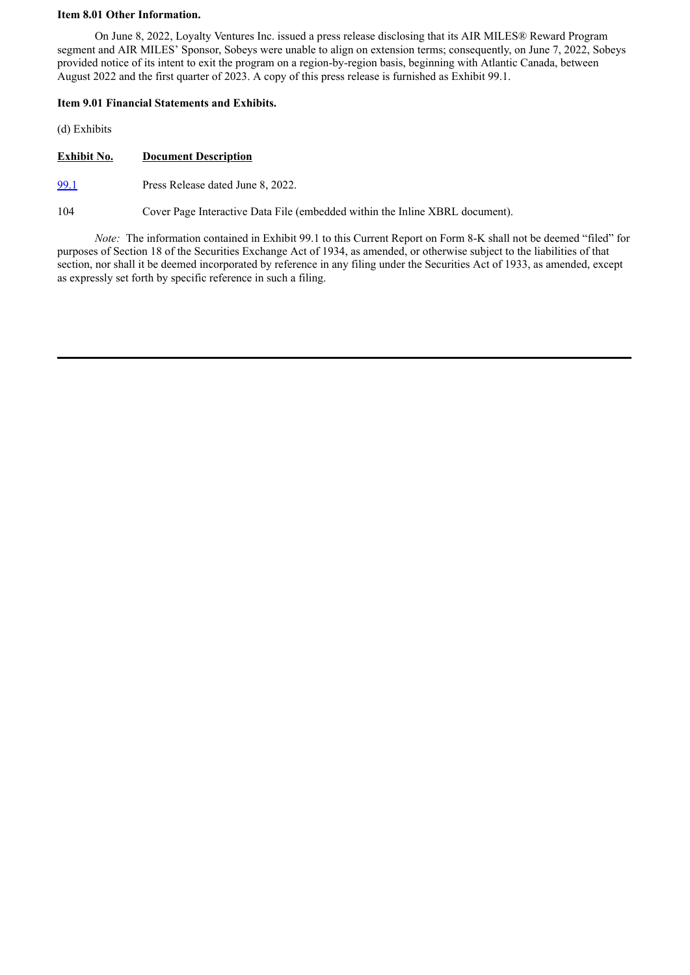#### **Item 8.01 Other Information.**

On June 8, 2022, Loyalty Ventures Inc. issued a press release disclosing that its AIR MILES® Reward Program segment and AIR MILES' Sponsor, Sobeys were unable to align on extension terms; consequently, on June 7, 2022, Sobeys provided notice of its intent to exit the program on a region-by-region basis, beginning with Atlantic Canada, between August 2022 and the first quarter of 2023. A copy of this press release is furnished as Exhibit 99.1.

#### **Item 9.01 Financial Statements and Exhibits.**

(d) Exhibits

**Exhibit No. Document Description**

[99.1](#page-3-0) Press Release dated June 8, 2022.

104 Cover Page Interactive Data File (embedded within the Inline XBRL document).

*Note:* The information contained in Exhibit 99.1 to this Current Report on Form 8-K shall not be deemed "filed" for purposes of Section 18 of the Securities Exchange Act of 1934, as amended, or otherwise subject to the liabilities of that section, nor shall it be deemed incorporated by reference in any filing under the Securities Act of 1933, as amended, except as expressly set forth by specific reference in such a filing.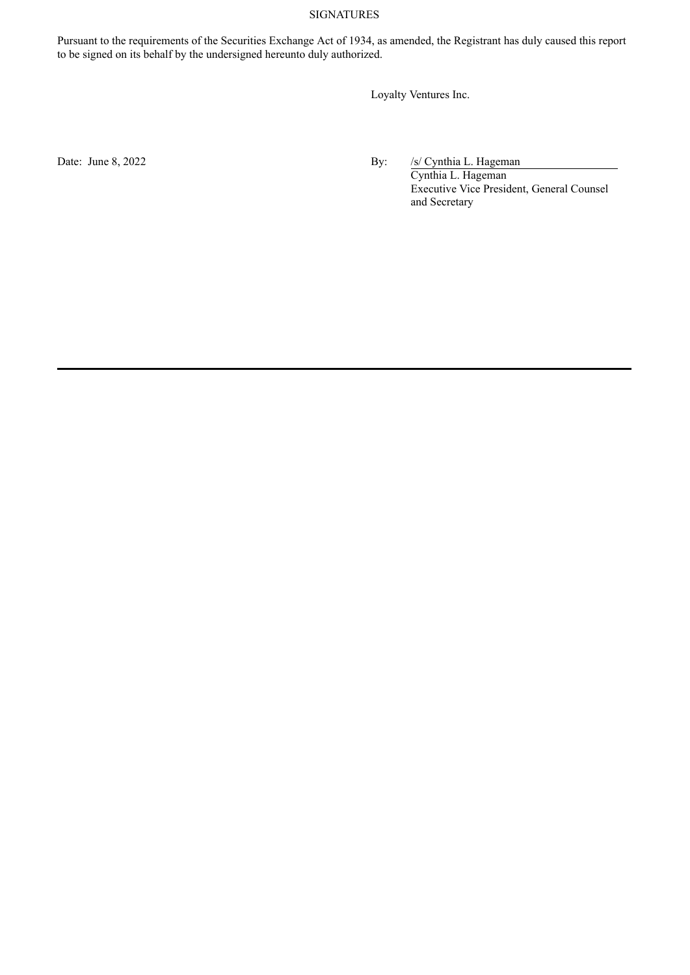### SIGNATURES

Pursuant to the requirements of the Securities Exchange Act of 1934, as amended, the Registrant has duly caused this report to be signed on its behalf by the undersigned hereunto duly authorized.

Loyalty Ventures Inc.

Date: June 8, 2022 By: /s/ Cynthia L. Hageman

Cynthia L. Hageman Executive Vice President, General Counsel and Secretary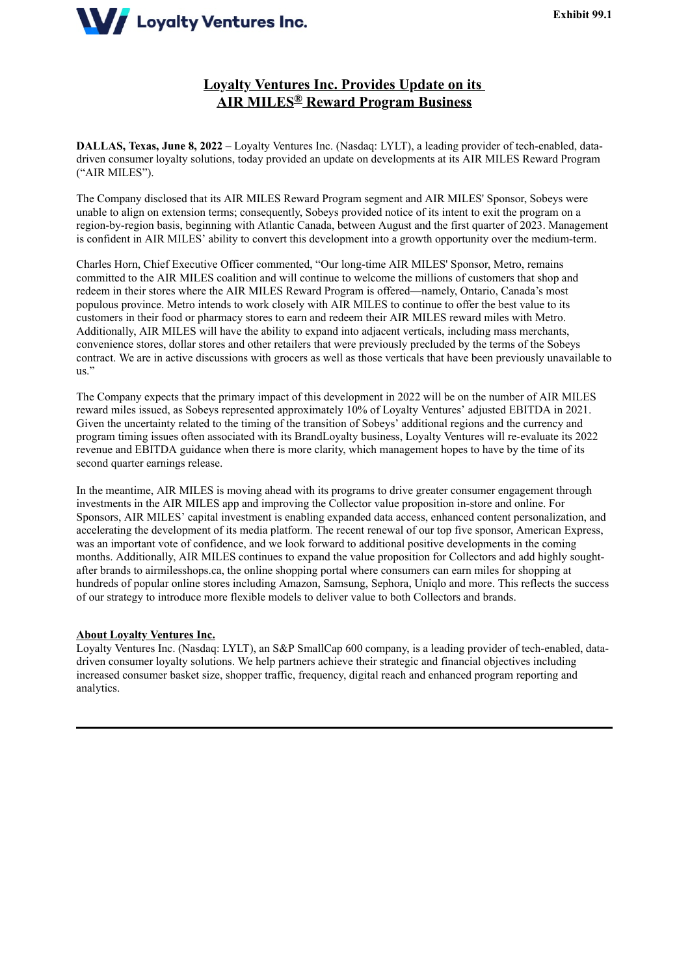<span id="page-3-0"></span>

## **Loyalty Ventures Inc. Provides Update on its AIR MILES® Reward Program Business**

**DALLAS, Texas, June 8, 2022** – Loyalty Ventures Inc. (Nasdaq: LYLT), a leading provider of tech-enabled, datadriven consumer loyalty solutions, today provided an update on developments at its AIR MILES Reward Program ("AIR MILES").

The Company disclosed that its AIR MILES Reward Program segment and AIR MILES' Sponsor, Sobeys were unable to align on extension terms; consequently, Sobeys provided notice of its intent to exit the program on a region-by-region basis, beginning with Atlantic Canada, between August and the first quarter of 2023. Management is confident in AIR MILES' ability to convert this development into a growth opportunity over the medium-term.

Charles Horn, Chief Executive Officer commented, "Our long-time AIR MILES' Sponsor, Metro, remains committed to the AIR MILES coalition and will continue to welcome the millions of customers that shop and redeem in their stores where the AIR MILES Reward Program is offered—namely, Ontario, Canada's most populous province. Metro intends to work closely with AIR MILES to continue to offer the best value to its customers in their food or pharmacy stores to earn and redeem their AIR MILES reward miles with Metro. Additionally, AIR MILES will have the ability to expand into adjacent verticals, including mass merchants, convenience stores, dollar stores and other retailers that were previously precluded by the terms of the Sobeys contract. We are in active discussions with grocers as well as those verticals that have been previously unavailable to us."

The Company expects that the primary impact of this development in 2022 will be on the number of AIR MILES reward miles issued, as Sobeys represented approximately 10% of Loyalty Ventures' adjusted EBITDA in 2021. Given the uncertainty related to the timing of the transition of Sobeys' additional regions and the currency and program timing issues often associated with its BrandLoyalty business, Loyalty Ventures will re-evaluate its 2022 revenue and EBITDA guidance when there is more clarity, which management hopes to have by the time of its second quarter earnings release.

In the meantime, AIR MILES is moving ahead with its programs to drive greater consumer engagement through investments in the AIR MILES app and improving the Collector value proposition in-store and online. For Sponsors, AIR MILES' capital investment is enabling expanded data access, enhanced content personalization, and accelerating the development of its media platform. The recent renewal of our top five sponsor, American Express, was an important vote of confidence, and we look forward to additional positive developments in the coming months. Additionally, AIR MILES continues to expand the value proposition for Collectors and add highly soughtafter brands to airmilesshops.ca, the online shopping portal where consumers can earn miles for shopping at hundreds of popular online stores including Amazon, Samsung, Sephora, Uniqlo and more. This reflects the success of our strategy to introduce more flexible models to deliver value to both Collectors and brands.

#### **About Loyalty Ventures Inc.**

Loyalty Ventures Inc. (Nasdaq: LYLT), an S&P SmallCap 600 company, is a leading provider of tech-enabled, datadriven consumer loyalty solutions. We help partners achieve their strategic and financial objectives including increased consumer basket size, shopper traffic, frequency, digital reach and enhanced program reporting and analytics.